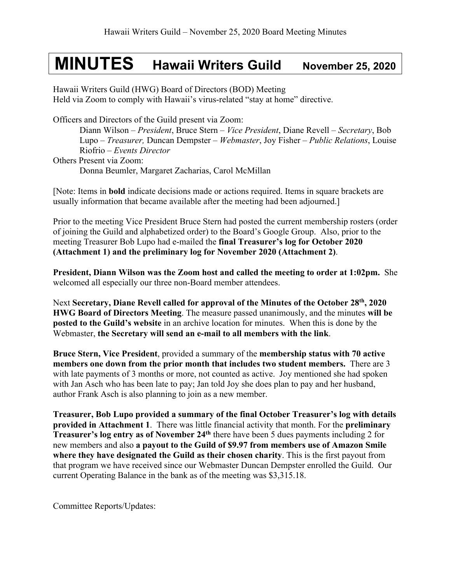## **MINUTES Hawaii Writers Guild November 25, <sup>2020</sup>**

Hawaii Writers Guild (HWG) Board of Directors (BOD) Meeting Held via Zoom to comply with Hawaii's virus-related "stay at home" directive.

Officers and Directors of the Guild present via Zoom:

Diann Wilson – *President*, Bruce Stern – *Vice President*, Diane Revell – *Secretary*, Bob Lupo – *Treasurer,* Duncan Dempster – *Webmaster*, Joy Fisher – *Public Relations*, Louise Riofrio – *Events Director* Others Present via Zoom: Donna Beumler, Margaret Zacharias, Carol McMillan

[Note: Items in **bold** indicate decisions made or actions required. Items in square brackets are usually information that became available after the meeting had been adjourned.]

Prior to the meeting Vice President Bruce Stern had posted the current membership rosters (order of joining the Guild and alphabetized order) to the Board's Google Group. Also, prior to the meeting Treasurer Bob Lupo had e-mailed the **final Treasurer's log for October 2020 (Attachment 1) and the preliminary log for November 2020 (Attachment 2)**.

**President, Diann Wilson was the Zoom host and called the meeting to order at 1:02pm.** She welcomed all especially our three non-Board member attendees.

Next **Secretary, Diane Revell called for approval of the Minutes of the October 28th, 2020 HWG Board of Directors Meeting**. The measure passed unanimously, and the minutes **will be posted to the Guild's website** in an archive location for minutes. When this is done by the Webmaster, **the Secretary will send an e-mail to all members with the link**.

**Bruce Stern, Vice President**, provided a summary of the **membership status with 70 active members one down from the prior month that includes two student members.** There are 3 with late payments of 3 months or more, not counted as active. Joy mentioned she had spoken with Jan Asch who has been late to pay; Jan told Joy she does plan to pay and her husband, author Frank Asch is also planning to join as a new member.

**Treasurer, Bob Lupo provided a summary of the final October Treasurer's log with details provided in Attachment 1**. There was little financial activity that month. For the **preliminary Treasurer's log entry as of November 24<sup>th</sup> there have been 5 dues payments including 2 for** new members and also **a payout to the Guild of \$9.97 from members use of Amazon Smile where they have designated the Guild as their chosen charity**. This is the first payout from that program we have received since our Webmaster Duncan Dempster enrolled the Guild. Our current Operating Balance in the bank as of the meeting was \$3,315.18.

Committee Reports/Updates: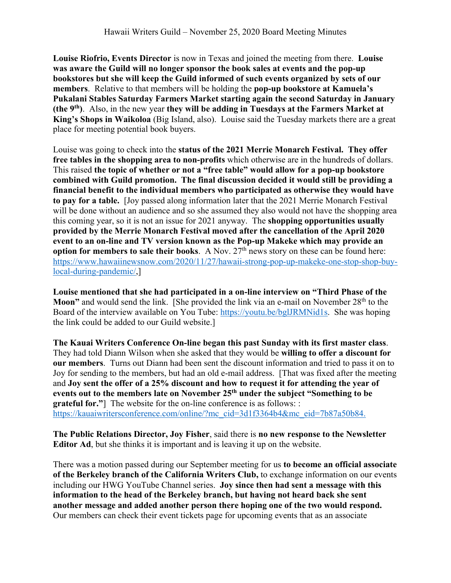**Louise Riofrio, Events Director** is now in Texas and joined the meeting from there. **Louise was aware the Guild will no longer sponsor the book sales at events and the pop-up bookstores but she will keep the Guild informed of such events organized by sets of our members**. Relative to that members will be holding the **pop-up bookstore at Kamuela's Pukalani Stables Saturday Farmers Market starting again the second Saturday in January (the 9th)**. Also, in the new year **they will be adding in Tuesdays at the Farmers Market at King's Shops in Waikoloa** (Big Island, also). Louise said the Tuesday markets there are a great place for meeting potential book buyers.

Louise was going to check into the **status of the 2021 Merrie Monarch Festival. They offer free tables in the shopping area to non-profits** which otherwise are in the hundreds of dollars. This raised **the topic of whether or not a "free table" would allow for a pop-up bookstore combined with Guild promotion. The final discussion decided it would still be providing a financial benefit to the individual members who participated as otherwise they would have to pay for a table.** [Joy passed along information later that the 2021 Merrie Monarch Festival will be done without an audience and so she assumed they also would not have the shopping area this coming year, so it is not an issue for 2021 anyway. The **shopping opportunities usually provided by the Merrie Monarch Festival moved after the cancellation of the April 2020 event to an on-line and TV version known as the Pop-up Makeke which may provide an option for members to sale their books**. A Nov.  $27<sup>th</sup>$  news story on these can be found here: https://www.hawaiinewsnow.com/2020/11/27/hawaii-strong-pop-up-makeke-one-stop-shop-buylocal-during-pandemic/,]

**Louise mentioned that she had participated in a on-line interview on "Third Phase of the Moon"** and would send the link. [She provided the link via an e-mail on November 28<sup>th</sup> to the Board of the interview available on You Tube: https://youtu.be/bglJRMNid1s. She was hoping the link could be added to our Guild website.]

**The Kauai Writers Conference On-line began this past Sunday with its first master class**. They had told Diann Wilson when she asked that they would be **willing to offer a discount for our members**. Turns out Diann had been sent the discount information and tried to pass it on to Joy for sending to the members, but had an old e-mail address. [That was fixed after the meeting and **Joy sent the offer of a 25% discount and how to request it for attending the year of events out to the members late on November 25th under the subject "Something to be grateful for."** The website for the on-line conference is as follows: : https://kauaiwritersconference.com/online/?mc\_cid=3d1f3364b4&mc\_eid=7b87a50b84.

**The Public Relations Director, Joy Fisher**, said there is **no new response to the Newsletter Editor Ad**, but she thinks it is important and is leaving it up on the website.

There was a motion passed during our September meeting for us **to become an official associate of the Berkeley branch of the California Writers Club,** to exchange information on our events including our HWG YouTube Channel series. **Joy since then had sent a message with this information to the head of the Berkeley branch, but having not heard back she sent another message and added another person there hoping one of the two would respond.**  Our members can check their event tickets page for upcoming events that as an associate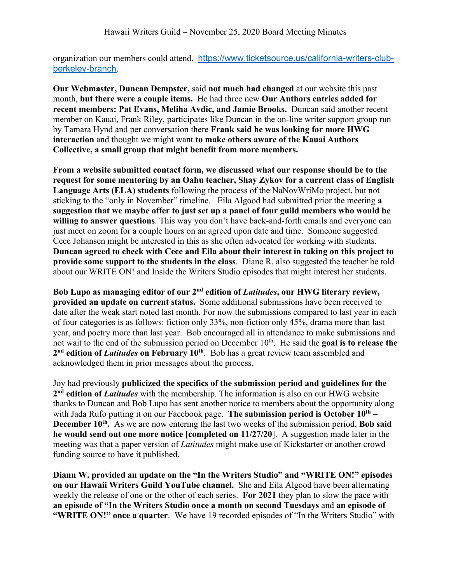organization our members could attend. https://www.ticketsource.us/california-writers-clubberkeley-branch.

**Our Webmaster, Duncan Dempster,** said **not much had changed** at our website this past month, **but there were a couple items.** He had three new **Our Authors entries added for recent members: Pat Evans, Meliha Avdic, and Jamie Brooks.** Duncan said another recent member on Kauai, Frank Riley, participates like Duncan in the on-line writer support group run by Tamara Hynd and per conversation there **Frank said he was looking for more HWG interaction** and thought we might want **to make others aware of the Kauai Authors Collective, a small group that might benefit from more members.**

**From a website submitted contact form, we discussed what our response should be to the request for some mentoring by an Oahu teacher, Shay Zykov for a current class of English Language Arts (ELA) students** following the process of the NaNovWriMo project, but not sticking to the "only in November" timeline. Eila Algood had submitted prior the meeting **a suggestion that we maybe offer to just set up a panel of four guild members who would be willing to answer questions**. This way you don't have back-and-forth emails and everyone can just meet on zoom for a couple hours on an agreed upon date and time. Someone suggested Cece Johansen might be interested in this as she often advocated for working with students. **Duncan agreed to check with Cece and Eila about their interest in taking on this project to provide some support to the students in the class**. Diane R. also suggested the teacher be told about our WRITE ON! and Inside the Writers Studio episodes that might interest her students.

**Bob Lupo as managing editor of our 2nd edition of** *Latitudes***, our HWG literary review, provided an update on current status.** Some additional submissions have been received to date after the weak start noted last month. For now the submissions compared to last year in each of four categories is as follows: fiction only 33%, non-fiction only 45%, drama more than last year, and poetry more than last year. Bob encouraged all in attendance to make submissions and not wait to the end of the submission period on December 10<sup>th</sup>. He said the **goal is to release the 2nd edition of** *Latitudes* **on February 10th**. Bob has a great review team assembled and acknowledged them in prior messages about the process.

Joy had previously **publicized the specifics of the submission period and guidelines for the 2nd edition of** *Latitudes* with the membership. The information is also on our HWG website thanks to Duncan and Bob Lupo has sent another notice to members about the opportunity along with Jada Rufo putting it on our Facebook page. **The submission period is October 10<sup>th</sup>** – **December 10<sup>th</sup>.** As we are now entering the last two weeks of the submission period, **Bob said he would send out one more notice [completed on 11/27/20**]. A suggestion made later in the meeting was that a paper version of *Latitudes* might make use of Kickstarter or another crowd funding source to have it published.

**Diann W. provided an update on the "In the Writers Studio" and "WRITE ON!" episodes on our Hawaii Writers Guild YouTube channel.** She and Eila Algood have been alternating weekly the release of one or the other of each series. **For 2021** they plan to slow the pace with **an episode of "In the Writers Studio once a month on second Tuesdays** and **an episode of "WRITE ON!" once a quarter**. We have 19 recorded episodes of "In the Writers Studio" with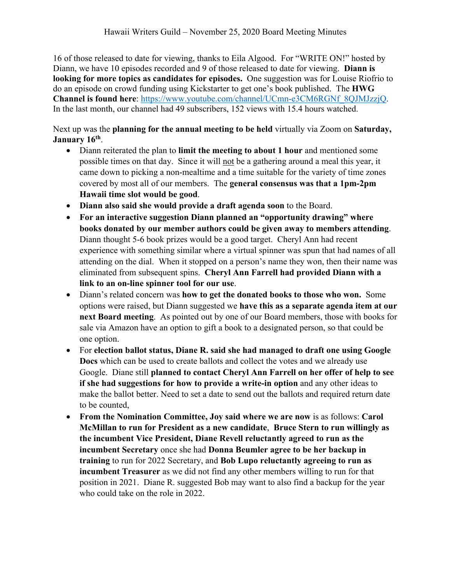16 of those released to date for viewing, thanks to Eila Algood. For "WRITE ON!" hosted by Diann, we have 10 episodes recorded and 9 of those released to date for viewing. **Diann is looking for more topics as candidates for episodes.** One suggestion was for Louise Riofrio to do an episode on crowd funding using Kickstarter to get one's book published. The **HWG Channel is found here**: https://www.youtube.com/channel/UCmn-e3CM6RGNf\_8QJMJzzjQ. In the last month, our channel had 49 subscribers, 152 views with 15.4 hours watched.

Next up was the **planning for the annual meeting to be held** virtually via Zoom on **Saturday, January 16th**.

- Diann reiterated the plan to **limit the meeting to about 1 hour** and mentioned some possible times on that day. Since it will not be a gathering around a meal this year, it came down to picking a non-mealtime and a time suitable for the variety of time zones covered by most all of our members. The **general consensus was that a 1pm-2pm Hawaii time slot would be good**.
- **Diann also said she would provide a draft agenda soon** to the Board.
- **For an interactive suggestion Diann planned an "opportunity drawing" where books donated by our member authors could be given away to members attending**. Diann thought 5-6 book prizes would be a good target. Cheryl Ann had recent experience with something similar where a virtual spinner was spun that had names of all attending on the dial. When it stopped on a person's name they won, then their name was eliminated from subsequent spins. **Cheryl Ann Farrell had provided Diann with a link to an on-line spinner tool for our use**.
- Diann's related concern was **how to get the donated books to those who won.** Some options were raised, but Diann suggested we **have this as a separate agenda item at our next Board meeting**. As pointed out by one of our Board members, those with books for sale via Amazon have an option to gift a book to a designated person, so that could be one option.
- For **election ballot status, Diane R. said she had managed to draft one using Google Docs** which can be used to create ballots and collect the votes and we already use Google. Diane still **planned to contact Cheryl Ann Farrell on her offer of help to see if she had suggestions for how to provide a write-in option** and any other ideas to make the ballot better. Need to set a date to send out the ballots and required return date to be counted,
- **From the Nomination Committee, Joy said where we are now** is as follows: **Carol McMillan to run for President as a new candidate**, **Bruce Stern to run willingly as the incumbent Vice President, Diane Revell reluctantly agreed to run as the incumbent Secretary** once she had **Donna Beumler agree to be her backup in training** to run for 2022 Secretary, and **Bob Lupo reluctantly agreeing to run as incumbent Treasurer** as we did not find any other members willing to run for that position in 2021. Diane R. suggested Bob may want to also find a backup for the year who could take on the role in 2022.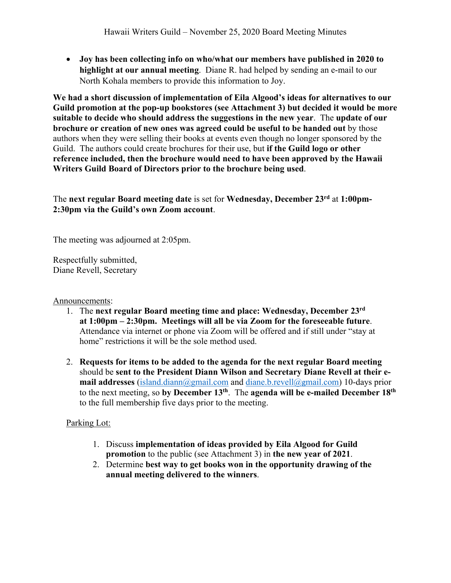• **Joy has been collecting info on who/what our members have published in 2020 to highlight at our annual meeting**. Diane R. had helped by sending an e-mail to our North Kohala members to provide this information to Joy.

**We had a short discussion of implementation of Eila Algood's ideas for alternatives to our Guild promotion at the pop-up bookstores (see Attachment 3) but decided it would be more suitable to decide who should address the suggestions in the new year**. The **update of our brochure or creation of new ones was agreed could be useful to be handed out** by those authors when they were selling their books at events even though no longer sponsored by the Guild. The authors could create brochures for their use, but **if the Guild logo or other reference included, then the brochure would need to have been approved by the Hawaii Writers Guild Board of Directors prior to the brochure being used**.

The **next regular Board meeting date** is set for **Wednesday, December 23rd** at **1:00pm-2:30pm via the Guild's own Zoom account**.

The meeting was adjourned at 2:05pm.

Respectfully submitted, Diane Revell, Secretary

## Announcements:

- 1. The **next regular Board meeting time and place: Wednesday, December 23rd at 1:00pm – 2:30pm. Meetings will all be via Zoom for the foreseeable future**. Attendance via internet or phone via Zoom will be offered and if still under "stay at home" restrictions it will be the sole method used.
- 2. **Requests for items to be added to the agenda for the next regular Board meeting** should be **sent to the President Diann Wilson and Secretary Diane Revell at their email addresses** (island.diann@gmail.com and diane.b.revell@gmail.com) 10-days prior to the next meeting, so **by December 13th**. The **agenda will be e-mailed December 18th** to the full membership five days prior to the meeting.

## Parking Lot:

- 1. Discuss **implementation of ideas provided by Eila Algood for Guild promotion** to the public (see Attachment 3) in **the new year of 2021**.
- 2. Determine **best way to get books won in the opportunity drawing of the annual meeting delivered to the winners**.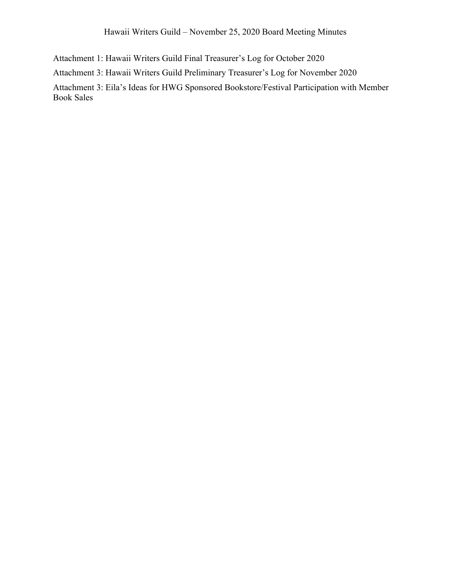Hawaii Writers Guild – November 25, 2020 Board Meeting Minutes

Attachment 1: Hawaii Writers Guild Final Treasurer's Log for October 2020

Attachment 3: Hawaii Writers Guild Preliminary Treasurer's Log for November 2020

Attachment 3: Eila's Ideas for HWG Sponsored Bookstore/Festival Participation with Member Book Sales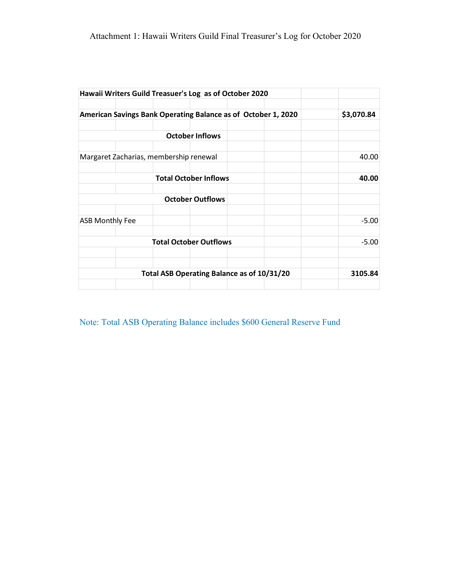| Hawaii Writers Guild Treasuer's Log as of October 2020        |  |  |                         |                                            |  |            |
|---------------------------------------------------------------|--|--|-------------------------|--------------------------------------------|--|------------|
|                                                               |  |  |                         |                                            |  |            |
| American Savings Bank Operating Balance as of October 1, 2020 |  |  |                         |                                            |  | \$3,070.84 |
|                                                               |  |  |                         |                                            |  |            |
|                                                               |  |  | <b>October Inflows</b>  |                                            |  |            |
| Margaret Zacharias, membership renewal                        |  |  |                         |                                            |  | 40.00      |
| <b>Total October Inflows</b>                                  |  |  |                         |                                            |  | 40.00      |
|                                                               |  |  | <b>October Outflows</b> |                                            |  |            |
| <b>ASB Monthly Fee</b>                                        |  |  |                         |                                            |  | $-5.00$    |
| <b>Total October Outflows</b>                                 |  |  |                         |                                            |  | $-5.00$    |
|                                                               |  |  |                         |                                            |  |            |
|                                                               |  |  |                         | Total ASB Operating Balance as of 10/31/20 |  | 3105.84    |

Note: Total ASB Operating Balance includes \$600 General Reserve Fund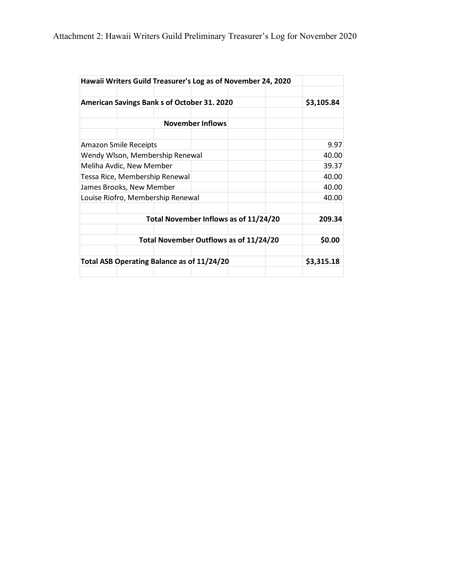| Hawaii Writers Guild Treasurer's Log as of November 24, 2020 |            |
|--------------------------------------------------------------|------------|
| American Savings Bank s of October 31. 2020                  | \$3,105.84 |
| <b>November Inflows</b>                                      |            |
| <b>Amazon Smile Receipts</b>                                 | 9.97       |
| Wendy Wlson, Membership Renewal                              | 40.00      |
| Meliha Avdic, New Member                                     | 39.37      |
| Tessa Rice, Membership Renewal                               | 40.00      |
| James Brooks, New Member                                     | 40.00      |
| Louise Riofro, Membership Renewal                            | 40.00      |
| Total November Inflows as of 11/24/20                        | 209.34     |
| Total November Outflows as of 11/24/20                       | \$0.00     |
| Total ASB Operating Balance as of 11/24/20                   | \$3,315.18 |